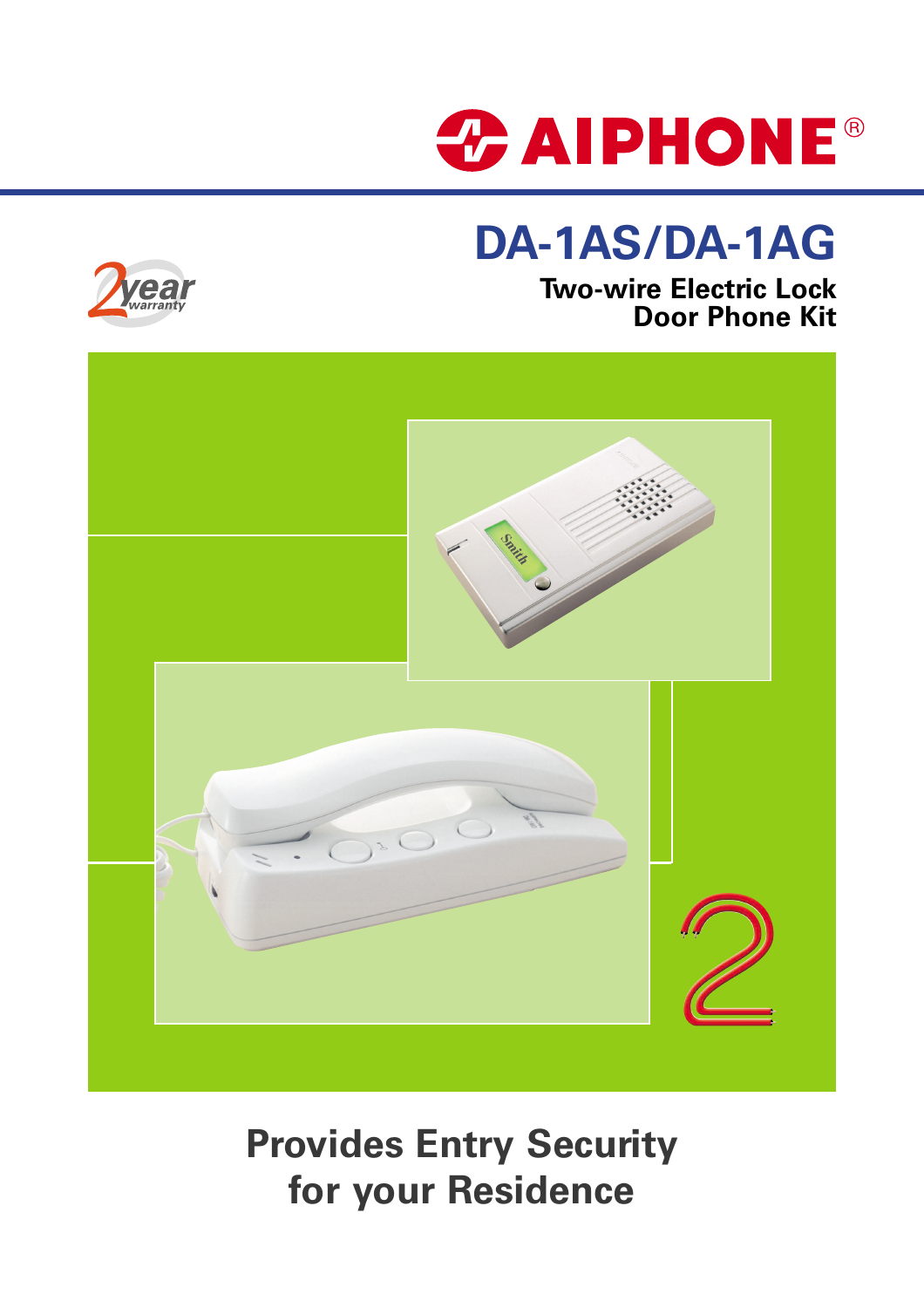

# **DA-1AS/DA-1AG**



### **Two-wire Electric Lock Door Phone Kit**



# **Provides Entry Security for your Residence**